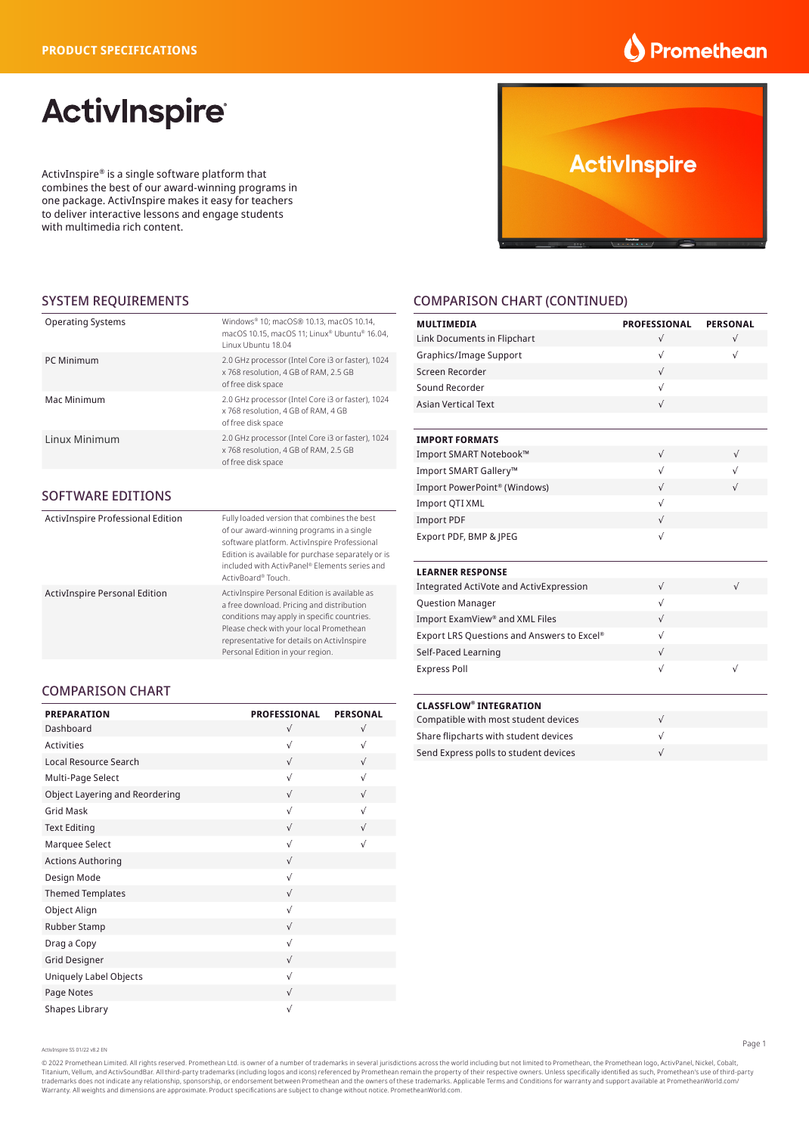### **Promethean**

# **ActivInspire**

ActivInspire® is a single software platform that combines the best of our award-winning programs in one package. ActivInspire makes it easy for teachers to deliver interactive lessons and engage students with multimedia rich content.



#### SYSTEM REQUIREMENTS

| <b>Operating Systems</b> | Windows® 10: macOS® 10.13. macOS 10.14.<br>macOS 10.15, macOS 11; Linux® Ubuntu® 16.04,<br>Linux Ubuntu 18.04    |
|--------------------------|------------------------------------------------------------------------------------------------------------------|
| PC Minimum               | 2.0 GHz processor (Intel Core i3 or faster), 1024<br>x 768 resolution, 4 GB of RAM, 2.5 GB<br>of free disk space |
| Mac Minimum              | 2.0 GHz processor (Intel Core i3 or faster), 1024<br>x 768 resolution, 4 GB of RAM, 4 GB<br>of free disk space   |
| Linux Minimum            | 2.0 GHz processor (Intel Core i3 or faster), 1024<br>x 768 resolution, 4 GB of RAM, 2.5 GB<br>of free disk space |

#### SOFTWARE EDITIONS

| ActivInspire Professional Edition    | Fully loaded version that combines the best<br>of our award-winning programs in a single<br>software platform. ActivInspire Professional<br>Edition is available for purchase separately or is<br>included with ActivPanel® Flements series and<br>ActivBoard® Touch.  |
|--------------------------------------|------------------------------------------------------------------------------------------------------------------------------------------------------------------------------------------------------------------------------------------------------------------------|
| <b>ActivInspire Personal Edition</b> | ActivInspire Personal Edition is available as<br>a free download. Pricing and distribution<br>conditions may apply in specific countries.<br>Please check with your local Promethean<br>representative for details on ActivInspire<br>Personal Edition in your region. |

#### COMPARISON CHART

| <b>PREPARATION</b>                    | <b>PROFESSIONAL</b> | <b>PERSONAL</b> |
|---------------------------------------|---------------------|-----------------|
| Dashboard                             | $\sqrt{ }$          | $\sqrt{ }$      |
| <b>Activities</b>                     | $\sqrt{ }$          | $\sqrt{ }$      |
| Local Resource Search                 | $\sqrt{ }$          | $\sqrt{ }$      |
| Multi-Page Select                     | $\sqrt{ }$          | $\sqrt{ }$      |
| <b>Object Layering and Reordering</b> | $\sqrt{ }$          | $\sqrt{ }$      |
| <b>Grid Mask</b>                      | $\sqrt{ }$          | $\sqrt{}$       |
| <b>Text Editing</b>                   | $\sqrt{ }$          | $\sqrt{ }$      |
| Marquee Select                        | $\sqrt{ }$          | $\sqrt{}$       |
| <b>Actions Authoring</b>              | $\sqrt{ }$          |                 |
| Design Mode                           | $\sqrt{ }$          |                 |
| <b>Themed Templates</b>               | $\sqrt{ }$          |                 |
| Object Align                          | $\sqrt{ }$          |                 |
| Rubber Stamp                          | $\sqrt{ }$          |                 |
| Drag a Copy                           | $\sqrt{ }$          |                 |
| <b>Grid Designer</b>                  | $\sqrt{ }$          |                 |
| Uniquely Label Objects                | $\sqrt{ }$          |                 |
| Page Notes                            | $\sqrt{ }$          |                 |
| Shapes Library                        | $\sqrt{}$           |                 |

#### COMPARISON CHART (CONTINUED)

| <b>MULTIMEDIA</b>                          | <b>PROFESSIONAL</b> | <b>PERSONAL</b> |
|--------------------------------------------|---------------------|-----------------|
| Link Documents in Flipchart                | $\sqrt{ }$          | $\sqrt{ }$      |
| Graphics/Image Support                     | $\sqrt{ }$          | $\sqrt{ }$      |
| Screen Recorder                            | $\sqrt{ }$          |                 |
| Sound Recorder                             | $\sqrt{ }$          |                 |
| <b>Asian Vertical Text</b>                 | $\sqrt{ }$          |                 |
|                                            |                     |                 |
| <b>IMPORT FORMATS</b>                      |                     |                 |
| Import SMART Notebook™                     | $\sqrt{ }$          | $\sqrt{ }$      |
| Import SMART Gallery™                      | $\sqrt{ }$          | $\sqrt{ }$      |
| Import PowerPoint® (Windows)               | $\sqrt{ }$          | $\sqrt{ }$      |
| Import QTI XML                             | $\sqrt{ }$          |                 |
| <b>Import PDF</b>                          | $\sqrt{ }$          |                 |
| Export PDF, BMP & JPEG                     | $\sqrt{ }$          |                 |
| <b>LEARNER RESPONSE</b>                    |                     |                 |
| Integrated ActiVote and ActivExpression    | $\sqrt{ }$          | $\sqrt{}$       |
| <b>Question Manager</b>                    | $\sqrt{ }$          |                 |
| Import ExamView® and XML Files             | $\sqrt{ }$          |                 |
| Export LRS Questions and Answers to Excel® | $\sqrt{ }$          |                 |
| Self-Paced Learning                        | $\sqrt{ }$          |                 |
| <b>Express Poll</b>                        | $\sqrt{ }$          | $\sqrt{}$       |
|                                            |                     |                 |
| <b>CLASSFLOW® INTEGRATION</b>              |                     |                 |
| Compatible with most student devices       | $\sqrt{ }$          |                 |
| Share flipcharts with student devices      | $\sqrt{}$           |                 |

Send Express polls to student devices √

ActivInspire SS 01/22 v8.2 EN

© 2022 Promethean Limited. All rights reserved. Promethean Ltd. is owner of a number of trademarks in several jurisdictions across the world including but not limited to Promethean, the Promethean logo, ActivPanel, Nickel, Titanium, Vellum, and ActivSoundBar. All third-party trademarks (including logos and icons) referenced by Promethean remain the property of their respective owners. Unless specifically identified as such, Promethean's use [Warranty](https://support.prometheanworld.com/product/-promethean-activcare-). All weights and dimensions are approximate. Product specifications are subject to change without notice. [PrometheanWorld.com](https://www.prometheanworld.com/).